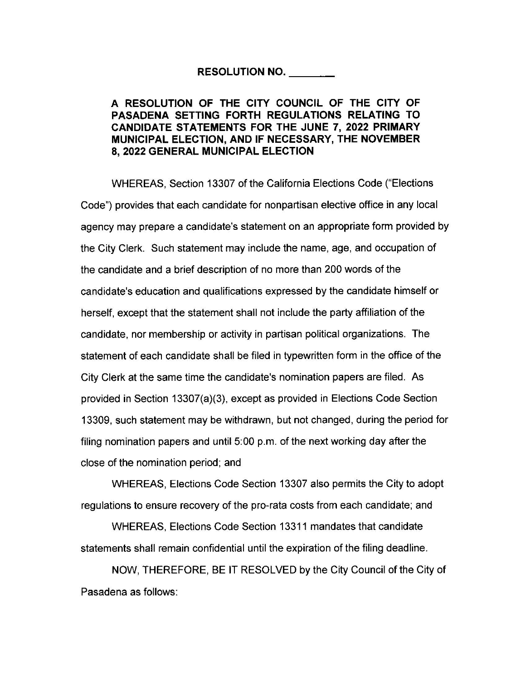## **RESOLUTION NO.** \_\_ \_

## **A RESOLUTION OF THE CITY COUNCIL OF THE CITY OF PASADENA SETTING FORTH REGULATIONS RELATING TO CANDIDATE STATEMENTS FOR THE JUNE 7, 2022 PRIMARY MUNICIPAL ELECTION, AND IF NECESSARY, THE NOVEMBER 8, 2022 GENERAL MUNICIPAL ELECTION**

WHEREAS, Section 13307 of the California Elections Code ("Elections Code'') provides that each candidate for nonpartisan elective office in any local agency may prepare a candidate's statement on an appropriate form provided by the City Clerk. Such statement may include the name, age, and occupation of the candidate and a brief description of no more than 200 words of the candidate's education and qualifications expressed by the candidate himself or herself, except that the statement shall not include the party affiliation of the candidate, nor membership or activity in partisan political organizations. The statement of each candidate shall be filed in typewritten form in the office of the City Clerk at the same time the candidate's nomination papers are filed. As provided in Section 13307(a)(3), except as provided in Elections Code Section 13309, such statement may be withdrawn, but not changed, during the period for filing nomination papers and until 5:00 p.m. of the next working day after the close of the nomination period; and

WHEREAS, Elections Code Section 13307 also permits the City to adopt regulations to ensure recovery of the pro-rata costs from each candidate; and

WHEREAS, Elections Code Section 13311 mandates that candidate statements shall remain confidential until the expiration of the filing deadline.

NOW, THEREFORE, BE IT RESOLVED by the City Council of the City of Pasadena as follows: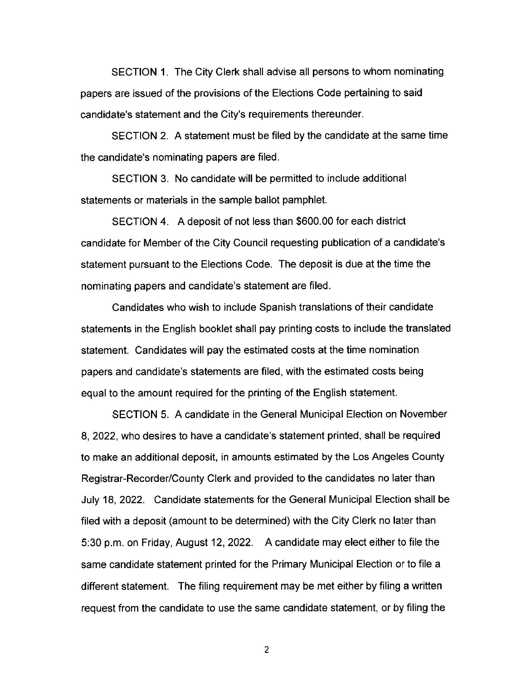SECTION 1. The City Clerk shall advise all persons to whom nominating papers are issued of the provisions of the Elections Code pertaining to said candidate's statement and the City's requirements thereunder.

SECTION 2. A statement must be filed by the candidate at the same time the candidate's nominating papers are filed.

SECTION 3. No candidate will be permitted to include additional statements or materials in the sample ballot pamphlet.

SECTION 4. A deposit of not less than \$600.00 for each district candidate for Member of the City Council requesting publication of a candidate's statement pursuant to the Elections Code. The deposit is due at the time the nominating papers and candidate's statement are filed.

Candidates who wish to include Spanish translations of their candidate statements in the English booklet shall pay printing costs to include the translated statement. Candidates will pay the estimated costs at the time nomination papers and candidate's statements are filed, with the estimated costs being equal to the amount required for the printing of the English statement.

SECTION 5. A candidate in the General Municipal Election on November 8, 2022, who desires to have a candidate's statement printed, shall be required to make an additional deposit, in amounts estimated by the Los Angeles County Registrar-Recorder/County Clerk and provided to the candidates no later than July 18, 2022. Candidate statements for the General Municipal Election shall be filed with a deposit (amount to be determined) with the City Clerk no later than 5:30 p.m. on Friday, August 12, 2022. A candidate may elect either to file the same candidate statement printed for the Primary Municipal Election or to file a different statement. The filing requirement may be met either by filing a written request from the candidate to use the same candidate statement, or by filing the

2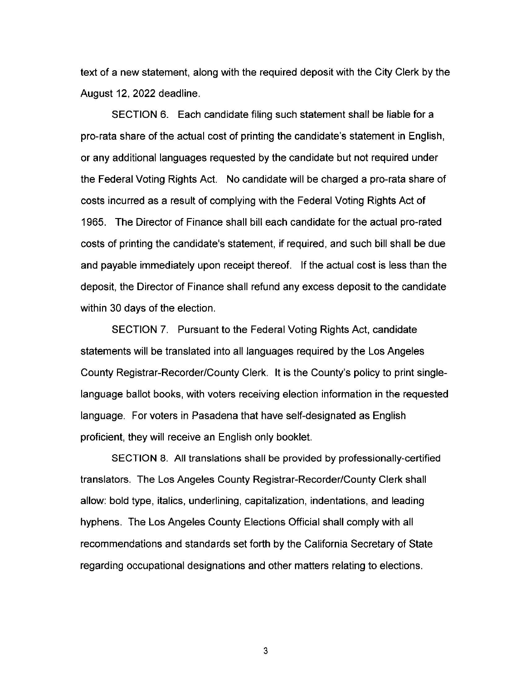text of a new statement, along with the required deposit with the City Clerk by the August 12, 2022 deadline.

SECTION 6. Each candidate filing such statement shall be liable for a pro-rata share of the actual cost of printing the candidate's statement in English, or any additional languages requested by the candidate but not required under the Federal Voting Rights Act. No candidate will be charged a pro-rata share of costs incurred as a result of complying with the Federal Voting Rights Act of 1965. The Director of Finance shall bill each candidate for the actual pro-rated costs of printing the candidate's statement, if required, and such bill shall be due and payable immediately upon receipt thereof. If the actual cost is less than the deposit, the Director of Finance shall refund any excess deposit to the candidate within 30 days of the election.

SECTION 7. Pursuant to the Federal Voting Rights Act, candidate statements will be translated into all languages required by the Los Angeles County Registrar-Recorder/County Clerk. It is the County's policy to print singlelanguage ballot books, with voters receiving election information in the requested language. For voters in Pasadena that have self-designated as English proficient, they will receive an English only booklet.

SECTION 8. All translations shall be provided by professionally-certified translators. The Los Angeles County Registrar-Recorder/County Clerk shall allow: bold type, italics, underlining, capitalization, indentations, and leading hyphens. The Los Angeles County Elections Official shall comply with all recommendations and standards set forth by the California Secretary of State regarding occupational designations and other matters relating to elections.

3